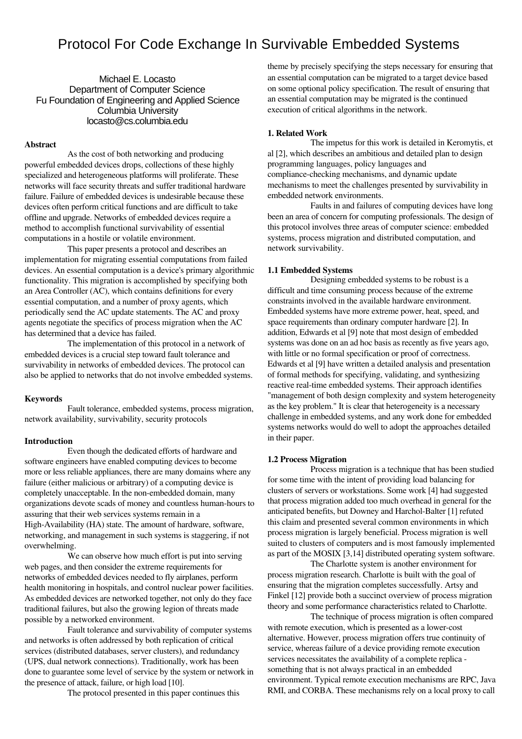# Protocol For Code Exchange In Survivable Embedded Systems

Michael E. Locasto Department of Computer Science Fu Foundation of Engineering and Applied Science Columbia University locasto@cs.columbia.edu

#### Abstract

As the cost of both networking and producing powerful embedded devices drops, collections of these highly specialized and heterogeneous platforms will proliferate. These networks will face security threats and suffer traditional hardware failure. Failure of embedded devices is undesirable because these devices often perform critical functions and are difficult to take offline and upgrade. Networks of embedded devices require a method to accomplish functional survivability of essential computations in a hostile or volatile environment.

This paper presents a protocol and describes an implementation for migrating essential computations from failed devices. An essential computation is a device's primary algorithmic functionality. This migration is accomplished by specifying both an Area Controller (AC), which contains definitions for every essential computation, and a number of proxy agents, which periodically send the AC update statements. The AC and proxy agents negotiate the specifics of process migration when the AC has determined that a device has failed.

The implementation of this protocol in a network of embedded devices is a crucial step toward fault tolerance and survivability in networks of embedded devices. The protocol can also be applied to networks that do not involve embedded systems.

#### Keywords

Fault tolerance, embedded systems, process migration, network availability, survivability, security protocols

### Introduction

Even though the dedicated efforts of hardware and software engineers have enabled computing devices to become more or less reliable appliances, there are many domains where any failure (either malicious or arbitrary) of a computing device is completely unacceptable. In the non-embedded domain, many organizations devote scads of money and countless human-hours to assuring that their web services systems remain in a High-Availability (HA) state. The amount of hardware, software, networking, and management in such systems is staggering, if not overwhelming.

We can observe how much effort is put into serving web pages, and then consider the extreme requirements for networks of embedded devices needed to fly airplanes, perform health monitoring in hospitals, and control nuclear power facilities. As embedded devices are networked together, not only do they face traditional failures, but also the growing legion of threats made possible by a networked environment.

Fault tolerance and survivability of computer systems and networks is often addressed by both replication of critical services (distributed databases, server clusters), and redundancy (UPS, dual network connections). Traditionally, work has been done to guarantee some level of service by the system or network in the presence of attack, failure, or high load [10].

The protocol presented in this paper continues this

theme by precisely specifying the steps necessary for ensuring that an essential computation can be migrated to a target device based on some optional policy specification. The result of ensuring that an essential computation may be migrated is the continued execution of critical algorithms in the network.

#### 1. Related Work

The impetus for this work is detailed in Keromytis, et al [2], which describes an ambitious and detailed plan to design programming languages, policy languages and compliance-checking mechanisms, and dynamic update mechanisms to meet the challenges presented by survivability in embedded network environments.

Faults in and failures of computing devices have long been an area of concern for computing professionals. The design of this protocol involves three areas of computer science: embedded systems, process migration and distributed computation, and network survivability.

#### 1.1 Embedded Systems

Designing embedded systems to be robust is a difficult and time consuming process because of the extreme constraints involved in the available hardware environment. Embedded systems have more extreme power, heat, speed, and space requirements than ordinary computer hardware [2]. In addition, Edwards et al [9] note that most design of embedded systems was done on an ad hoc basis as recently as five years ago, with little or no formal specification or proof of correctness. Edwards et al [9] have written a detailed analysis and presentation of formal methods for specifying, validating, and synthesizing reactive real-time embedded systems. Their approach identifies "management of both design complexity and system heterogeneity as the key problem." It is clear that heterogeneity is a necessary challenge in embedded systems, and any work done for embedded systems networks would do well to adopt the approaches detailed in their paper.

# 1.2 Process Migration

Process migration is a technique that has been studied for some time with the intent of providing load balancing for clusters of servers or workstations. Some work [4] had suggested that process migration added too much overhead in general for the anticipated benefits, but Downey and Harchol-Balter [1] refuted this claim and presented several common environments in which process migration is largely beneficial. Process migration is well suited to clusters of computers and is most famously implemented as part of the MOSIX [3,14] distributed operating system software.

The Charlotte system is another environment for process migration research. Charlotte is built with the goal of ensuring that the migration completes successfully. Artsy and Finkel [12] provide both a succinct overview of process migration theory and some performance characteristics related to Charlotte.

The technique of process migration is often compared with remote execution, which is presented as a lower-cost alternative. However, process migration offers true continuity of service, whereas failure of a device providing remote execution services necessitates the availability of a complete replica something that is not always practical in an embedded environment. Typical remote execution mechanisms are RPC, Java RMI, and CORBA. These mechanisms rely on a local proxy to call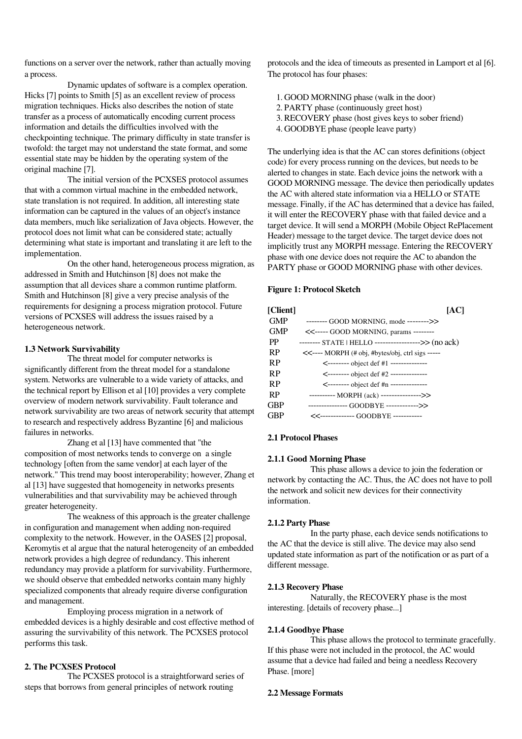functions on a server over the network, rather than actually moving a process.

Dynamic updates of software is a complex operation. Hicks [7] points to Smith [5] as an excellent review of process migration techniques. Hicks also describes the notion of state transfer as a process of automatically encoding current process information and details the difficulties involved with the checkpointing technique. The primary difficulty in state transfer is twofold: the target may not understand the state format, and some essential state may be hidden by the operating system of the original machine [7].

The initial version of the PCXSES protocol assumes that with a common virtual machine in the embedded network, state translation is not required. In addition, all interesting state information can be captured in the values of an object's instance data members, much like serialization of Java objects. However, the protocol does not limit what can be considered state; actually determining what state is important and translating it are left to the implementation.

On the other hand, heterogeneous process migration, as addressed in Smith and Hutchinson [8] does not make the assumption that all devices share a common runtime platform. Smith and Hutchinson [8] give a very precise analysis of the requirements for designing a process migration protocol. Future versions of PCXSES will address the issues raised by a heterogeneous network.

### 1.3 Network Survivability

The threat model for computer networks is significantly different from the threat model for a standalone system. Networks are vulnerable to a wide variety of attacks, and the technical report by Ellison et al [10] provides a very complete overview of modern network survivability. Fault tolerance and network survivability are two areas of network security that attempt to research and respectively address Byzantine [6] and malicious failures in networks.

Zhang et al [13] have commented that "the composition of most networks tends to converge on a single technology [often from the same vendor] at each layer of the network." This trend may boost interoperability; however, Zhang et al [13] have suggested that homogeneity in networks presents vulnerabilities and that survivability may be achieved through greater heterogeneity.

The weakness of this approach is the greater challenge in configuration and management when adding non-required complexity to the network. However, in the OASES [2] proposal, Keromytis et al argue that the natural heterogeneity of an embedded network provides a high degree of redundancy. This inherent redundancy may provide a platform for survivability. Furthermore, we should observe that embedded networks contain many highly specialized components that already require diverse configuration and management.

Employing process migration in a network of embedded devices is a highly desirable and cost effective method of assuring the survivability of this network. The PCXSES protocol performs this task.

# 2. The PCXSES Protocol

The PCXSES protocol is a straightforward series of steps that borrows from general principles of network routing

protocols and the idea of timeouts as presented in Lamport et al [6]. The protocol has four phases:

- 1. GOOD MORNING phase (walk in the door)
- 2.PARTY phase (continuously greet host)
- 3. RECOVERY phase (host gives keys to sober friend)
- 4. GOODBYE phase (people leave party)

The underlying idea is that the AC can stores definitions (object code) for every process running on the devices, but needs to be alerted to changes in state. Each device joins the network with a GOOD MORNING message. The device then periodically updates the AC with altered state information via a HELLO or STATE message. Finally, if the AC has determined that a device has failed, it will enter the RECOVERY phase with that failed device and a target device. It will send a MORPH (Mobile Object RePlacement Header) message to the target device. The target device does not implicitly trust any MORPH message. Entering the RECOVERY phase with one device does not require the AC to abandon the PARTY phase or GOOD MORNING phase with other devices.

# Figure 1: Protocol Sketch

| [Client]   | [AC]                                                 |
|------------|------------------------------------------------------|
| <b>GMP</b> | -------- GOOD MORNING, mode -------->>               |
| <b>GMP</b> | <<----- GOOD MORNING, params --------                |
| <b>PP</b>  | -------- STATE   HELLO ------------------>> (no ack) |
| <b>RP</b>  | <<---- MORPH (# obj, #bytes/obj, ctrl sigs -----     |
| <b>RP</b>  | <-------- object def #1 --------------               |
| <b>RP</b>  | <-------- object def #2 --------------               |
| <b>RP</b>  | <-------- object def #n --------------               |
| <b>RP</b>  | ---------- MORPH (ack) --------------->>             |
| <b>GBP</b> | --------------- GOODBYE ------------>>               |
| GBP        |                                                      |

### 2.1 Protocol Phases

## 2.1.1 Good Morning Phase

This phase allows a device to join the federation or network by contacting the AC. Thus, the AC does not have to poll the network and solicit new devices for their connectivity information.

## 2.1.2 Party Phase

In the party phase, each device sends notifications to the AC that the device is still alive. The device may also send updated state information as part of the notification or as part of a different message.

### 2.1.3 Recovery Phase

Naturally, the RECOVERY phase is the most interesting. [details of recovery phase...]

## 2.1.4 Goodbye Phase

This phase allows the protocol to terminate gracefully. If this phase were not included in the protocol, the AC would assume that a device had failed and being a needless Recovery Phase. [more]

### 2.2 Message Formats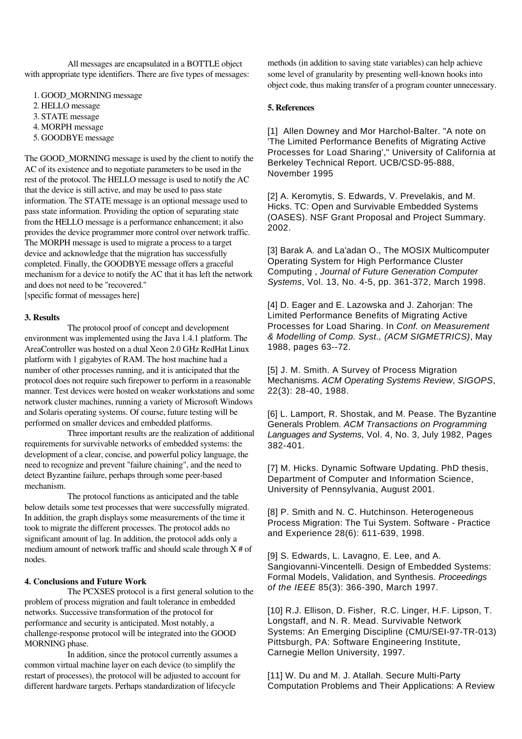All messages are encapsulated in a BOTTLE object with appropriate type identifiers. There are five types of messages:

1. GOOD\_MORNING message 2. HELLO message 3.STATE message 4. MORPH message

5. GOODBYE message

The GOOD MORNING message is used by the client to notify the AC of its existence and to negotiate parameters to be used in the rest of the protocol. The HELLO message is used to notify the AC that the device is still active, and may be used to pass state information. The STATE message is an optional message used to pass state information. Providing the option of separating state from the HELLO message is a performance enhancement; it also provides the device programmer more control over network traffic. The MORPH message is used to migrate a process to a target device and acknowledge that the migration has successfully completed. Finally, the GOODBYE message offers a graceful mechanism for a device to notify the AC that it has left the network and does not need to be "recovered."

[specific format of messages here]

#### 3. Results

The protocol proof of concept and development environment was implemented using the Java 1.4.1 platform. The AreaController was hosted on a dual Xeon 2.0 GHz RedHat Linux platform with 1 gigabytes of RAM. The host machine had a number of other processes running, and it is anticipated that the protocol does not require such firepower to perform in a reasonable manner. Test devices were hosted on weaker workstations and some network cluster machines, running a variety of Microsoft Windows and Solaris operating systems. Of course, future testing will be performed on smaller devices and embedded platforms.

Three important results are the realization of additional requirements for survivable networks of embedded systems: the development of a clear, concise, and powerful policy language, the need to recognize and prevent "failure chaining", and the need to detect Byzantine failure, perhaps through some peer-based mechanism.

The protocol functions as anticipated and the table below details some test processes that were successfully migrated. In addition, the graph displays some measurements of the time it took to migrate the different processes. The protocol adds no significant amount of lag. In addition, the protocol adds only a medium amount of network traffic and should scale through  $X \#$  of nodes.

# 4. Conclusions and Future Work

The PCXSES protocol is a first general solution to the problem of process migration and fault tolerance in embedded networks. Successive transformation of the protocol for performance and security is anticipated. Most notably, a challenge-response protocol will be integrated into the GOOD MORNING phase.

In addition, since the protocol currently assumes a common virtual machine layer on each device (to simplify the restart of processes), the protocol will be adjusted to account for different hardware targets. Perhaps standardization of lifecycle

methods (in addition to saving state variables) can help achieve some level of granularity by presenting well-known hooks into object code, thus making transfer of a program counter unnecessary.

#### 5. References

[1] Allen Downey and Mor Harchol-Balter. "A note on 'The Limited Performance Benefits of Migrating Active Processes for Load Sharing'," University of California at Berkeley Technical Report. UCB/CSD-95-888, November 1995

[2] A. Keromytis, S. Edwards, V. Prevelakis, and M. Hicks. TC: Open and Survivable Embedded Systems (OASES). NSF Grant Proposal and Project Summary. 2002.

[3] Barak A. and La'adan O., The MOSIX Multicomputer Operating System for High Performance Cluster Computing , Journal of Future Generation Computer Systems, Vol. 13, No. 4-5, pp. 361-372, March 1998.

[4] D. Eager and E. Lazowska and J. Zahorjan: The Limited Performance Benefits of Migrating Active Processes for Load Sharing. In Conf. on Measurement & Modelling of Comp. Syst., (ACM SIGMETRICS), May 1988, pages 63--72.

[5] J. M. Smith. A Survey of Process Migration Mechanisms. ACM Operating Systems Review, SIGOPS, 22(3): 28-40, 1988.

[6] L. Lamport, R. Shostak, and M. Pease. The Byzantine Generals Problem. ACM Transactions on Programming Languages and Systems, Vol. 4, No. 3, July 1982, Pages 382-401.

[7] M. Hicks. Dynamic Software Updating. PhD thesis, Department of Computer and Information Science, University of Pennsylvania, August 2001.

[8] P. Smith and N. C. Hutchinson. Heterogeneous Process Migration: The Tui System. Software - Practice and Experience 28(6): 611-639, 1998.

[9] S. Edwards, L. Lavagno, E. Lee, and A. Sangiovanni-Vincentelli. Design of Embedded Systems: Formal Models, Validation, and Synthesis. Proceedings of the IEEE 85(3): 366-390, March 1997.

[10] R.J. Ellison, D. Fisher, R.C. Linger, H.F. Lipson, T. Longstaff, and N. R. Mead. Survivable Network Systems: An Emerging Discipline (CMU/SEI-97-TR-013) Pittsburgh, PA: Software Engineering Institute, Carnegie Mellon University, 1997.

[11] W. Du and M. J. Atallah. Secure Multi-Party Computation Problems and Their Applications: A Review